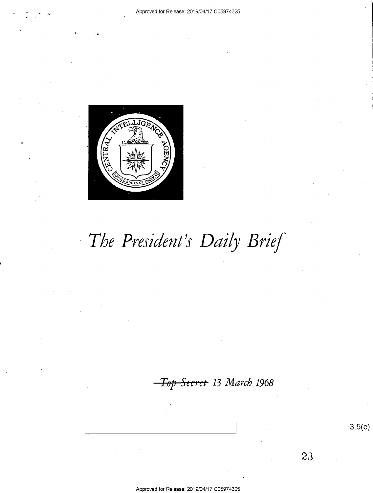

# The President's Daily Brief

<del>Secret</del> 13 March 1968

 $3.5(c)$ 

23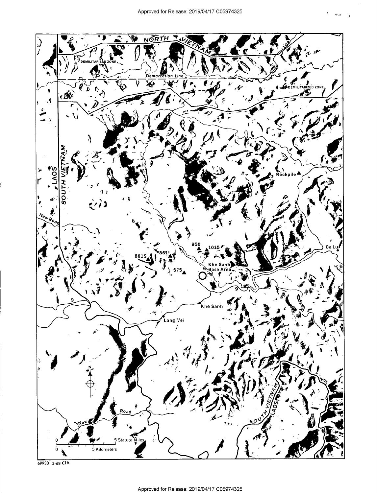

69930 3-68 CIA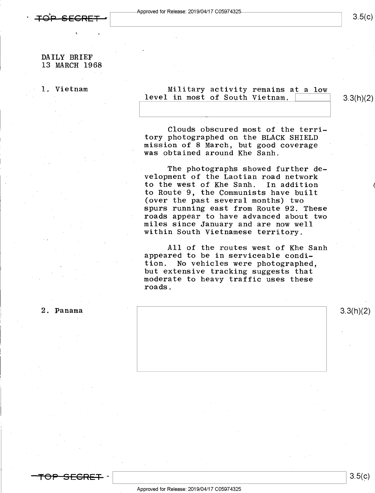1 <sup>n</sup>

# $3.5(c)$

## DAILY BRIEF 13 MARCH 1968

## 1. Vietnam ... ... ... Military activity remains at a low level in most of South Vietnam.

 $3.3(h)(2)$ 

Clouds obscured most of the terri-<br>tory photographed on the BLACK SHIELD tory photographed on the BLACK SHIELD mission of 8 March, but good coverage ' ' was obtained around Khe Sanh.

The photographs showed further development of the Laotian road network<br>to the west of Khe Sanh. In addition to the west of Khe Sanh. to Route 9, the Communists have built (over the past several months) two spurs running east from Route 92. These roads appear to have advanced about two<br>miles since January and are now well within South Vietnamese territory.

All of the routes west of Khe Sanh<br>appeared to be in serviceable condi-<br>tion. No vehicles were photographed. No vehicles were photographed, but extensive tracking suggests that moderate to heavy traffic uses these roads.



<del>-TOP SECRET</del> -

 $3.5(c)$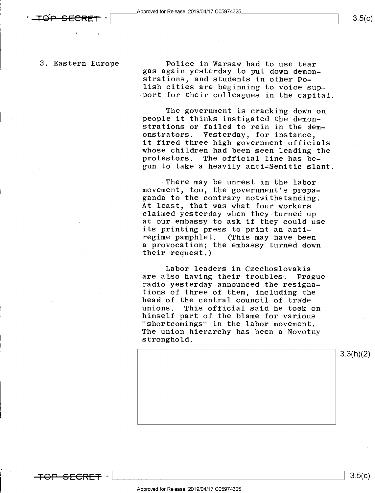$3.5(c)$ 

<del>TOP SECRET</del> –

- .

3. Eastern Europe Police in Warsaw had to use tear gas again yesterday to put down demonstrations, and students in other Po-<br>lish cities are beginning to voice support for their colleagues in the capital.

> The government is cracking down on people it thinks instigated the demon strations or failed to rein in the dem-<br>onstrators. Yesterday, for instance. onstrators. Yesterday, for instance,<br>it fired three high government officials whose children had been seen leading the<br>protestors. The official line has be-The official line has begun to take a heavily anti-Semitic slant.

There may be unrest in the labor movement, too, the government's propaganda to the contrary notwithstanding.<br>At least, that was what four workers claimed yesterday when they turned up at our embassy to ask if they could use its printing press to print an antiregime pamphlet. (This may have been <sup>a</sup>provocation; the embassy turned down their request.)

Labor leaders in Czechoslovakia<br>are also having their troubles. Prague radio yesterday announced the resignations of three of them, including the head of the central council of trade unions. This official said he took on himself part of the blame for various "shortcomings" in the labor movement. The union hierarchy has been a Novotny stronghold.



Approved for Release: 2019/04/17 C05974325

\ \ 8.5(¢)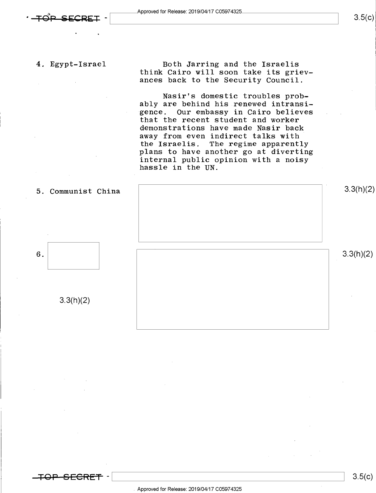$3.5(c)$ 

'

,

4. Egypt-Israel Both Jarring and the Israelis think Cairo will soon take its grievances back to the Security Council.

> Nasir's domestic troubles probably are behind his renewed intransigence. Our embassy in Cairo believes that the recent student and worker demonstrations have made Nasir back away from even indirect talks with the Israelis. The regime apparently plans to have another go at diverting internal public opinion with a noisy hassle in the UN.





3.3(h)(2)

6.  $\begin{bmatrix} 3.3(11)(2) \end{bmatrix}$ 

\ \ 8-5(¢)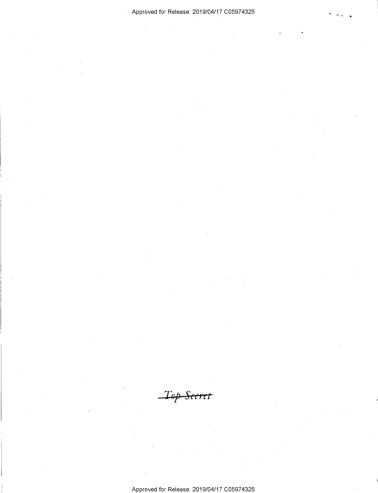Approved for Release: 2019/04/17 C05974325

Top Seeret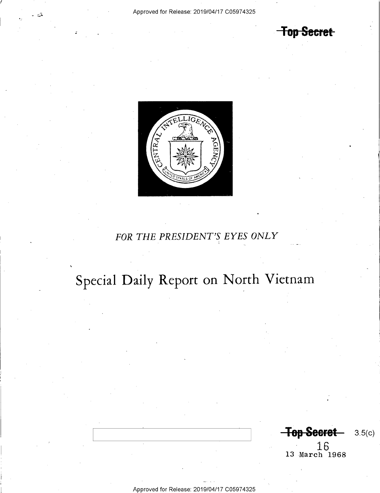**Top Secret** 



# FOR THE PRESIDENT'S EYES ONLY

# Special Daily Report on North Vietnam

 $\ddot{\phantom{0}}$ 

Top Secret-3.5(c)

 $16$ <br>13 March 1968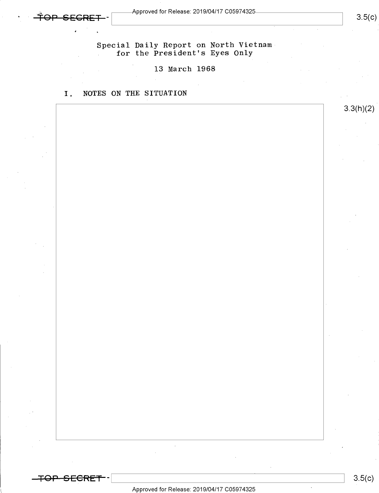'5 <sup>1</sup>

 $3.5(c)$ 

3.3(h)(2)

Special Daily Report on North Vietnam . for the President's Eyes Only

# 13 March 1968

I. NOTES ON THE SITUATION

 $\bar{\mathcal{A}}$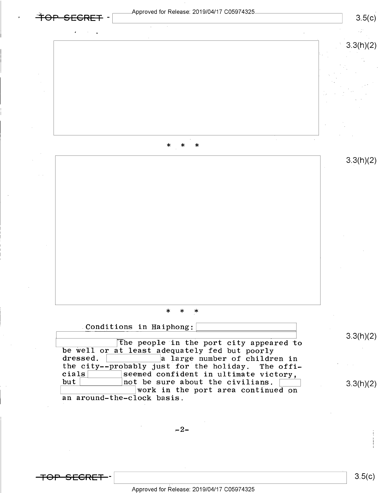

<del>TOP SECRET</del>

 $3.5(c)$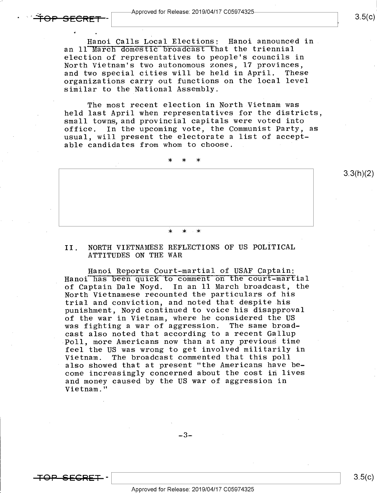Hanoi Calls Local Elections: Hanoi announced in an 11 March domestic broadcast that the triennial election of representatives to people's councils in North Vietnam's two autonomous zones, l7 provinces, and two special cities will be held in April. These organizations carry out functions on the local level similar to the National Assembly.

The most recent election in North Vietnam was held last April when representatives for the districts, small towns, and provincial capitals were voted into<br>office. In the upcoming vote, the Communist Party, In the upcoming vote, the Communist Party, as usual, will present the electorate a list of acceptable candidates from whom to choose.

1\* \* \* 3.3(h)(2) \* \* \*

### II. NORTH VIETNAMESE REFLECTIONS OF US POLTTICAL ATTITUDES ON THE WAR

Hanoi Reports Court-martial of USAF Captain: Hanoi has been quick to comment on the court-martial of Captain Dale Noyd. In an ll March broadcast, the North Vietnamese recounted the particulars of his trial and conviction, and noted that despite his punishment, Noyd continued to voice his disapproval of the war in Vietnam, where he considered the US<br>was fighting a war of aggression. The same broadwas fighting a war of aggression. cast also noted that according to a recent Gallup -Poll, more Americans now than at any previous time feel the US was wrong to get involved militarily in<br>Vietnam. The broadcast commented that this poll The broadcast commented that this poll also showed that at present "the Americans have become increasingly concerned about the cost in lives and money caused by the US war of aggression in Vietnam."

 $-3-$ 

<del>TOP SEGRET</del> –

 $\bullet$   $\bullet$ 

 $3.5(c)$